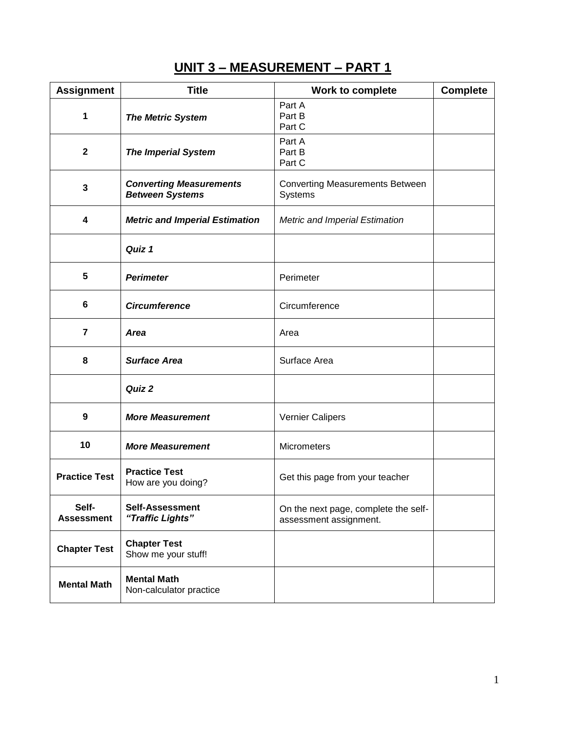# **UNIT 3 – MEASUREMENT – PART 1**

| <b>Assignment</b>          | <b>Title</b>                                             | Work to complete                                               | <b>Complete</b> |
|----------------------------|----------------------------------------------------------|----------------------------------------------------------------|-----------------|
| 1                          | <b>The Metric System</b>                                 | Part A<br>Part B<br>Part C                                     |                 |
| $\mathbf{2}$               | <b>The Imperial System</b>                               | Part A<br>Part B<br>Part C                                     |                 |
| 3                          | <b>Converting Measurements</b><br><b>Between Systems</b> | <b>Converting Measurements Between</b><br>Systems              |                 |
| 4                          | <b>Metric and Imperial Estimation</b>                    | <b>Metric and Imperial Estimation</b>                          |                 |
|                            | Quiz 1                                                   |                                                                |                 |
| 5                          | <b>Perimeter</b>                                         | Perimeter                                                      |                 |
| 6                          | <b>Circumference</b>                                     | Circumference                                                  |                 |
| $\overline{7}$             | <b>Area</b>                                              | Area                                                           |                 |
| 8                          | <b>Surface Area</b>                                      | Surface Area                                                   |                 |
|                            | Quiz 2                                                   |                                                                |                 |
| 9                          | <b>More Measurement</b>                                  | <b>Vernier Calipers</b>                                        |                 |
| 10                         | <b>More Measurement</b>                                  | <b>Micrometers</b>                                             |                 |
| <b>Practice Test</b>       | <b>Practice Test</b><br>How are you doing?               | Get this page from your teacher                                |                 |
| Self-<br><b>Assessment</b> | <b>Self-Assessment</b><br>"Traffic Lights"               | On the next page, complete the self-<br>assessment assignment. |                 |
| <b>Chapter Test</b>        | <b>Chapter Test</b><br>Show me your stuff!               |                                                                |                 |
| <b>Mental Math</b>         | <b>Mental Math</b><br>Non-calculator practice            |                                                                |                 |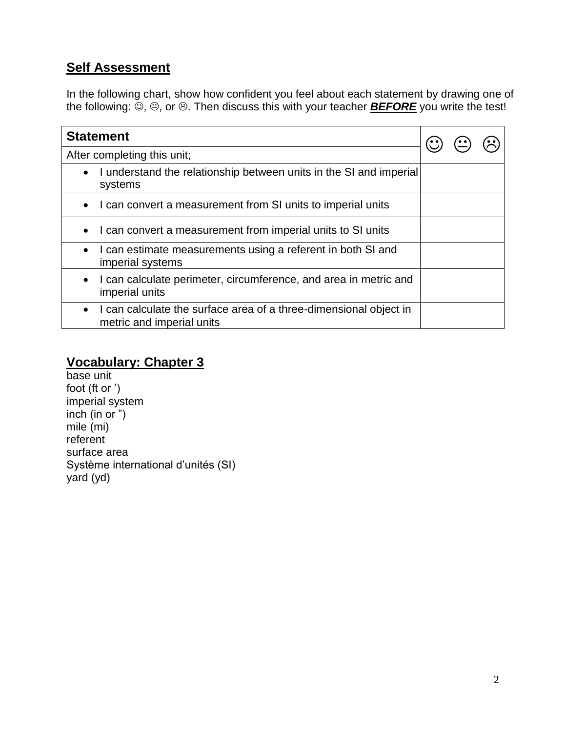## **Self Assessment**

In the following chart, show how confident you feel about each statement by drawing one of the following:  $\ddot{\odot}$ ,  $\odot$ , or  $\odot$ . Then discuss this with your teacher **BEFORE** you write the test!

| <b>Statement</b>                                                                               |  |  |
|------------------------------------------------------------------------------------------------|--|--|
| After completing this unit;                                                                    |  |  |
| I understand the relationship between units in the SI and imperial<br>systems                  |  |  |
| I can convert a measurement from SI units to imperial units                                    |  |  |
| I can convert a measurement from imperial units to SI units                                    |  |  |
| I can estimate measurements using a referent in both SI and<br>$\bullet$<br>imperial systems   |  |  |
| I can calculate perimeter, circumference, and area in metric and<br>imperial units             |  |  |
| I can calculate the surface area of a three-dimensional object in<br>metric and imperial units |  |  |

## **Vocabulary: Chapter 3**

base unit foot (ft or ') imperial system inch (in or ") mile (mi) referent surface area Système international d'unités (SI) yard (yd)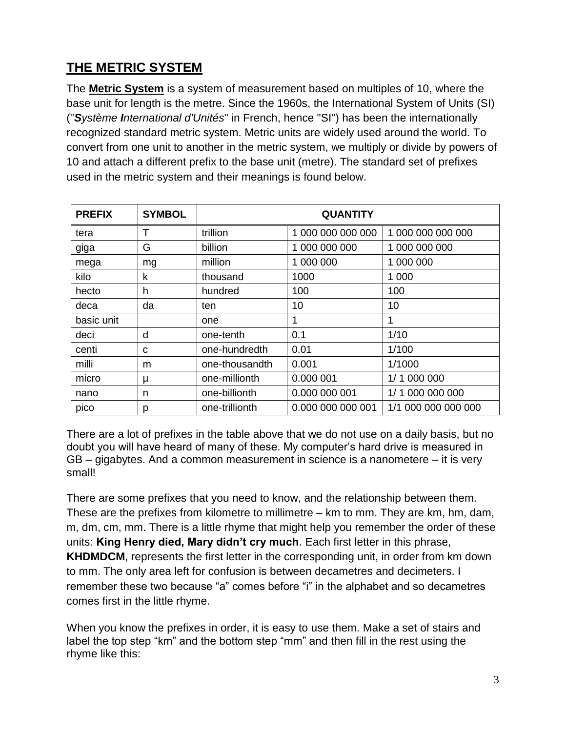# **THE METRIC SYSTEM**

The **Metric System** is a system of measurement based on multiples of 10, where the base unit for length is the metre. Since the 1960s, the International System of Units (SI) ("*Système International d'Unités*" in French, hence "SI") has been the internationally recognized standard metric system. Metric units are widely used around the world. To convert from one unit to another in the metric system, we multiply or divide by powers of 10 and attach a different prefix to the base unit (metre). The standard set of prefixes used in the metric system and their meanings is found below.

| <b>PREFIX</b> | <b>SYMBOL</b> | <b>QUANTITY</b> |                   |                     |
|---------------|---------------|-----------------|-------------------|---------------------|
| tera          | Т             | trillion        | 1 000 000 000 000 | 1 000 000 000 000   |
| giga          | G             | billion         | 1 000 000 000     | 1 000 000 000       |
| mega          | mg            | million         | 1 000 000         | 1 000 000           |
| kilo          | k             | thousand        | 1000              | 1 000               |
| hecto         | h             | hundred         | 100               | 100                 |
| deca          | da            | ten             | 10                | 10                  |
| basic unit    |               | one             |                   | 1                   |
| deci          | d             | one-tenth       | 0.1               | 1/10                |
| centi         | C             | one-hundredth   | 0.01              | 1/100               |
| milli         | m             | one-thousandth  | 0.001             | 1/1000              |
| micro         | μ             | one-millionth   | 0.000 001         | 1/1 000 000         |
| nano          | n             | one-billionth   | 0.000 000 001     | 1/1 000 000 000     |
| pico          | р             | one-trillionth  | 0.000 000 000 001 | 1/1 000 000 000 000 |

There are a lot of prefixes in the table above that we do not use on a daily basis, but no doubt you will have heard of many of these. My computer's hard drive is measured in GB – gigabytes. And a common measurement in science is a nanometere – it is very small!

There are some prefixes that you need to know, and the relationship between them. These are the prefixes from kilometre to millimetre – km to mm. They are km, hm, dam, m, dm, cm, mm. There is a little rhyme that might help you remember the order of these units: **King Henry died, Mary didn't cry much**. Each first letter in this phrase, **KHDMDCM**, represents the first letter in the corresponding unit, in order from km down to mm. The only area left for confusion is between decametres and decimeters. I remember these two because "a" comes before "i" in the alphabet and so decametres comes first in the little rhyme.

When you know the prefixes in order, it is easy to use them. Make a set of stairs and label the top step "km" and the bottom step "mm" and then fill in the rest using the rhyme like this: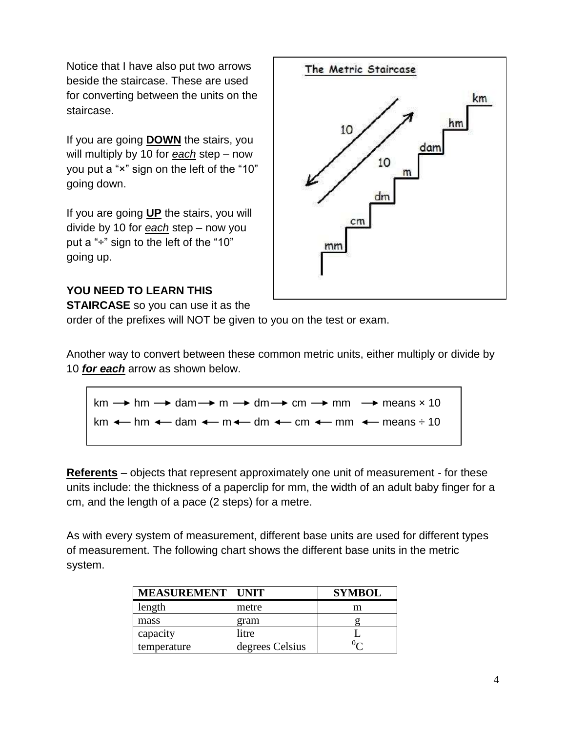Notice that I have also put two arrows beside the staircase. These are used for converting between the units on the staircase.

If you are going **DOWN** the stairs, you will multiply by 10 for *each* step – now you put a "×" sign on the left of the "10" going down.

If you are going **UP** the stairs, you will divide by 10 for *each* step – now you put a "÷" sign to the left of the "10" going up.



#### **YOU NEED TO LEARN THIS**

**STAIRCASE** so you can use it as the

order of the prefixes will NOT be given to you on the test or exam.

Another way to convert between these common metric units, either multiply or divide by 10 *for each* arrow as shown below.

 $km \rightarrow hm \rightarrow dam \rightarrow m \rightarrow dm \rightarrow cm \rightarrow mm$  mm  $\rightarrow$  means  $\times 10$ km  $\leftarrow$  hm  $\leftarrow$  dam  $\leftarrow$  m $\leftarrow$  dm  $\leftarrow$  cm  $\leftarrow$  mm  $\leftarrow$  means  $\div$  10

**Referents** – objects that represent approximately one unit of measurement - for these units include: the thickness of a paperclip for mm, the width of an adult baby finger for a cm, and the length of a pace (2 steps) for a metre.

As with every system of measurement, different base units are used for different types of measurement. The following chart shows the different base units in the metric system.

| <b>MEASUREMENT   UNIT</b> |                 | <b>SYMBOL</b> |
|---------------------------|-----------------|---------------|
| length                    | metre           | m             |
| mass                      | gram            |               |
| capacity                  | litre           |               |
| temperature               | degrees Celsius |               |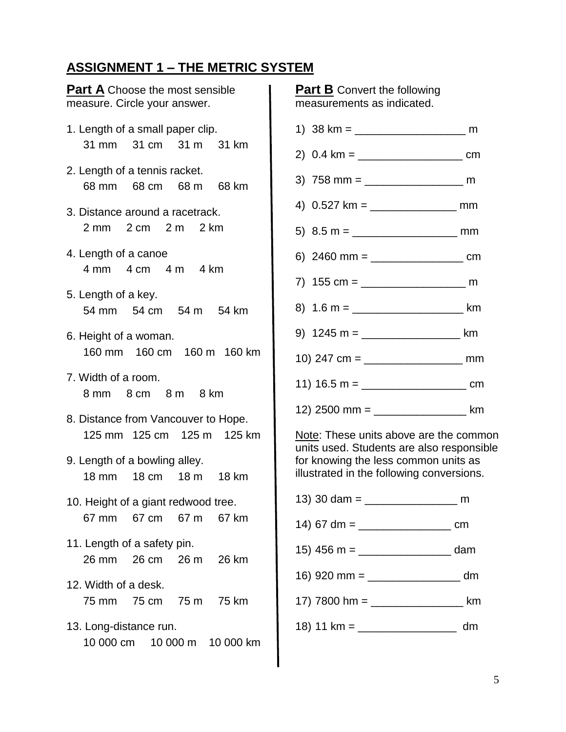## **ASSIGNMENT 1 – THE METRIC SYSTEM**

| <b>Part A</b> Choose the most sensible<br>measure. Circle your answer.                                                                                                                                 | <b>Part B</b> Convert the following<br>measurements as indicated.                                                                  |
|--------------------------------------------------------------------------------------------------------------------------------------------------------------------------------------------------------|------------------------------------------------------------------------------------------------------------------------------------|
| 1. Length of a small paper clip.<br>31 mm 31 cm 31 m 31 km<br>2. Length of a tennis racket.<br>68 mm 68 cm 68 m 68 km<br>3. Distance around a racetrack.<br>2 mm 2 cm 2 m 2 km<br>4. Length of a canoe | 4) $0.527 \text{ km} =$<br>5) $8.5 m =$                                                                                            |
| 4 mm 4 cm 4 m 4 km<br>5. Length of a key.<br>54 mm 54 cm 54 m 54 km<br>6. Height of a woman.                                                                                                           | 8) $1.6 m =$<br>9) $1245 m =$                                                                                                      |
| 160 mm 160 cm 160 m 160 km<br>7. Width of a room.<br>8 mm 8 cm 8 m 8 km<br>8. Distance from Vancouver to Hope.                                                                                         | 11) 16.5 m = _______________<br>12) 2500 mm = ____________                                                                         |
| 125 mm 125 cm 125 m 125 km<br>9. Length of a bowling alley.<br>18 mm 18 cm 18 m 18 km                                                                                                                  | Note: These units above are t<br>units used. Students are also<br>for knowing the less common<br>illustrated in the following cont |
| 10. Height of a giant redwood tree.<br>67 mm<br>67 cm 67 m<br>67 km<br>11. Length of a safety pin.                                                                                                     | 13) 30 dam = $\frac{1}{2}$                                                                                                         |
| 26 mm<br>26 cm<br>26 m<br>26 km<br>12. Width of a desk.<br>75 mm<br>75 cm 75 m<br>75 km                                                                                                                | 16) 920 mm = $\frac{1}{2}$<br>17) 7800 hm = $\frac{1}{2}$                                                                          |
| 13. Long-distance run.<br>10 000 cm<br>10 000 m 10 000 km                                                                                                                                              |                                                                                                                                    |
|                                                                                                                                                                                                        |                                                                                                                                    |



s above are the common ents are also responsible ess common units as ollowing conversions.

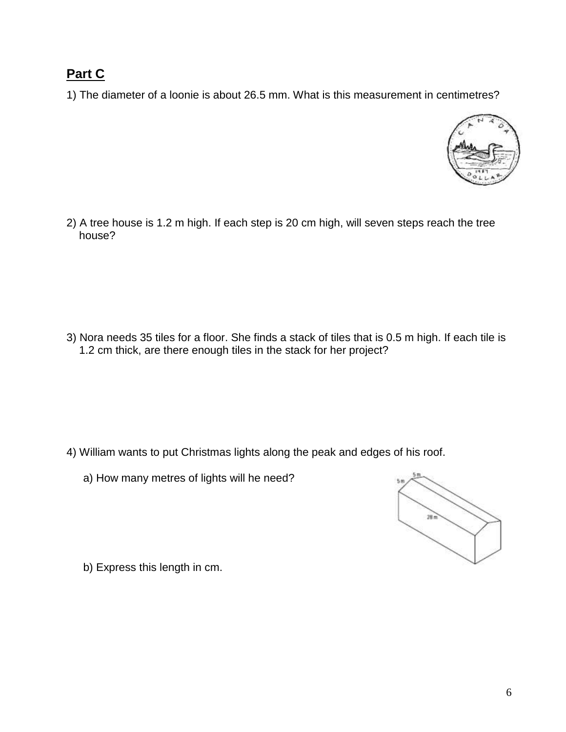## **Part C**

1) The diameter of a loonie is about 26.5 mm. What is this measurement in centimetres?



2) A tree house is 1.2 m high. If each step is 20 cm high, will seven steps reach the tree house?

3) Nora needs 35 tiles for a floor. She finds a stack of tiles that is 0.5 m high. If each tile is 1.2 cm thick, are there enough tiles in the stack for her project?

- 4) William wants to put Christmas lights along the peak and edges of his roof.
	- a) How many metres of lights will he need?



b) Express this length in cm.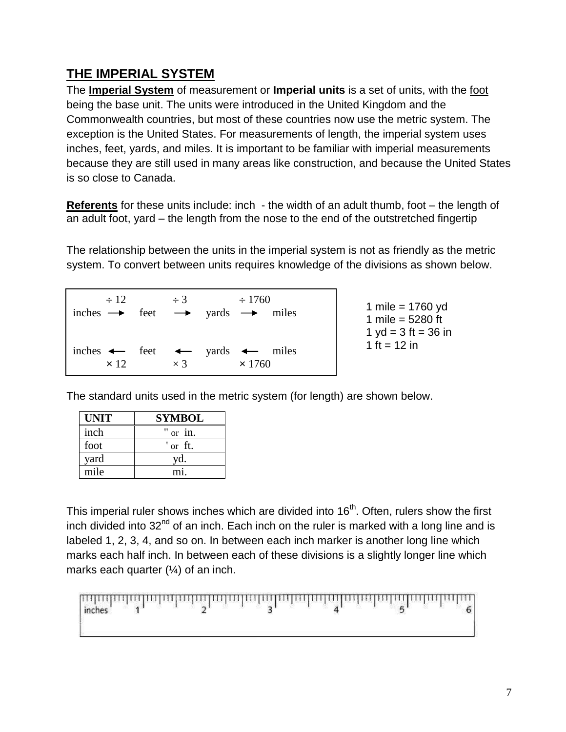## **THE IMPERIAL SYSTEM**

The **Imperial System** of measurement or **Imperial units** is a set of units, with the foot being the base unit. The units were introduced in the United Kingdom and the Commonwealth countries, but most of these countries now use the metric system. The exception is the United States. For measurements of length, the imperial system uses inches, feet, yards, and miles. It is important to be familiar with imperial measurements because they are still used in many areas like construction, and because the United States is so close to Canada.

**Referents** for these units include: inch - the width of an adult thumb, foot – the length of an adult foot, yard – the length from the nose to the end of the outstretched fingertip

The relationship between the units in the imperial system is not as friendly as the metric system. To convert between units requires knowledge of the divisions as shown below.

| $\div$ 12.  | $\div$ 3   | $\div 1760$<br>inches $\rightarrow$ feet $\rightarrow$ yards $\rightarrow$ miles | 1 mile = $1760$ yd<br>1 mile = $5280$ ft<br>1 yd = $3$ ft = $36$ in |
|-------------|------------|----------------------------------------------------------------------------------|---------------------------------------------------------------------|
| $\times$ 12 | $\times$ 3 | inches $\leftarrow$ feet $\leftarrow$ yards $\leftarrow$ miles<br>$\times$ 1760  | 1 ft = $12$ in                                                      |

The standard units used in the metric system (for length) are shown below.

| <b>UNIT</b> | <b>SYMBOL</b> |  |
|-------------|---------------|--|
| inch        | " or in.      |  |
| foot        | or ft.        |  |
| yard        | yd.           |  |
| mile        | m1            |  |

This imperial ruler shows inches which are divided into  $16<sup>th</sup>$ . Often, rulers show the first inch divided into  $32<sup>nd</sup>$  of an inch. Each inch on the ruler is marked with a long line and is labeled 1, 2, 3, 4, and so on. In between each inch marker is another long line which marks each half inch. In between each of these divisions is a slightly longer line which marks each quarter (¼) of an inch.

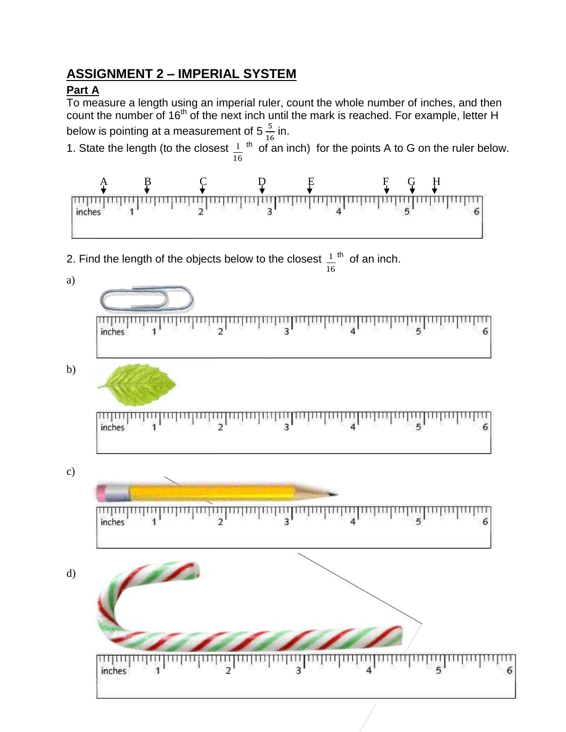### **ASSIGNMENT 2 – IMPERIAL SYSTEM**

### **Part A**

<del>inpropingu</del>

inches

To measure a length using an imperial ruler, count the whole number of inches, and then count the number of 16<sup>th</sup> of the next inch until the mark is reached. For example, letter H below is pointing at a measurement of 5  $\frac{5}{10}$  $rac{5}{16}$  in.  $1<sup>th</sup>$  of an inch) for the points A to G on the ruler below. 1. State the length (to the closest 16 A B C D E F G H <u>հունականականականական</u> णाणामा 전 정  $\frac{1}{2}$  $\frac{1}{3}$ inches  $1<sup>th</sup>$  of an inch. 2. Find the length of the objects below to the closest 16 a) ակական<br>\*  $\frac{1}{2}$  $\frac{1}{3}$  $\mathbf{1}$ 6 inches b)  $\overline{2}$  $\overline{3}$ 6 inches c) пцициция inches 6 d)

шшш

 $\overline{\mathbf{3}}$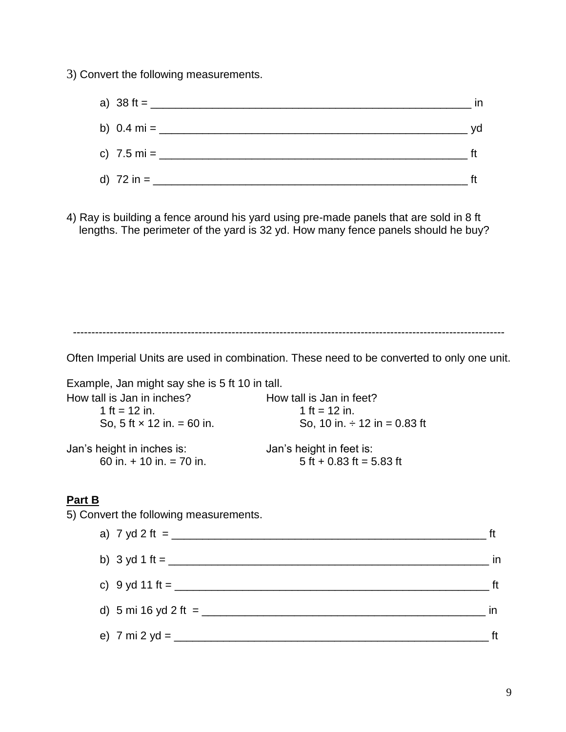3) Convert the following measurements.

| a) $38 \text{ ft} =$ ____   | in |
|-----------------------------|----|
| b) $0.4 \text{ mi} =$ _____ | yd |
| c) 7.5 mi = $\frac{1}{2}$   |    |
| d) 72 in = $\frac{1}{2}$    |    |

4) Ray is building a fence around his yard using pre-made panels that are sold in 8 ft lengths. The perimeter of the yard is 32 yd. How many fence panels should he buy?

---------------------------------------------------------------------------------------------------------------------

Often Imperial Units are used in combination. These need to be converted to only one unit.

Example, Jan might say she is 5 ft 10 in tall. How tall is Jan in inches?<br>
How tall is Jan in teet?  $1 \text{ ft} = 12 \text{ in.}$  1 ft = 12 in. So, 5 ft  $\times$  12 in. = 60 in. So, 10 in.  $\div$  12 in = 0.83 ft Jan's height in inches is: Jan's height in feet is: 60 in.  $\div$  10 in. = 70 in.  $\phantom{00}$  5 ft + 0.83 ft = 5.83 ft

#### **Part B**

5) Convert the following measurements.

| a) 7 yd 2 ft = ______              | ft |
|------------------------------------|----|
|                                    | in |
| c) 9 yd 11 ft = _____              | ft |
| d) 5 mi 16 yd 2 ft = $\frac{1}{2}$ | in |
| e) 7 mi 2 yd = _____               |    |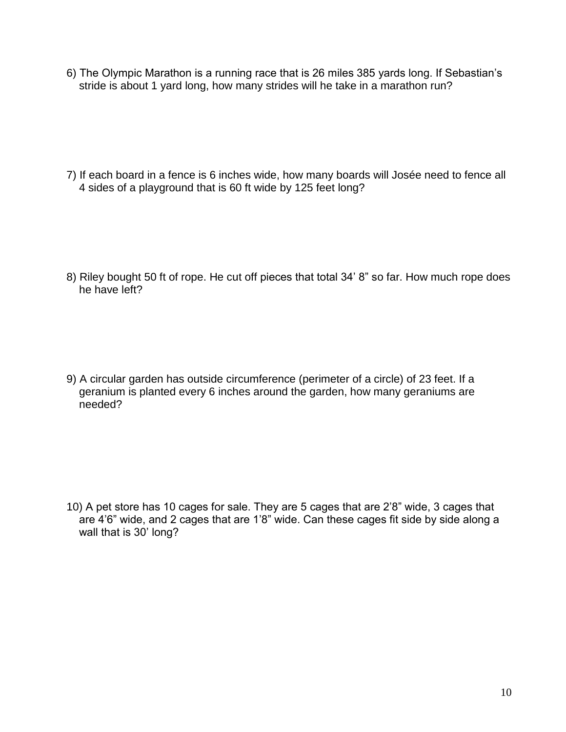6) The Olympic Marathon is a running race that is 26 miles 385 yards long. If Sebastian's stride is about 1 yard long, how many strides will he take in a marathon run?

7) If each board in a fence is 6 inches wide, how many boards will Josée need to fence all 4 sides of a playground that is 60 ft wide by 125 feet long?

8) Riley bought 50 ft of rope. He cut off pieces that total 34' 8" so far. How much rope does he have left?

9) A circular garden has outside circumference (perimeter of a circle) of 23 feet. If a geranium is planted every 6 inches around the garden, how many geraniums are needed?

10) A pet store has 10 cages for sale. They are 5 cages that are 2'8" wide, 3 cages that are 4'6" wide, and 2 cages that are 1'8" wide. Can these cages fit side by side along a wall that is 30' long?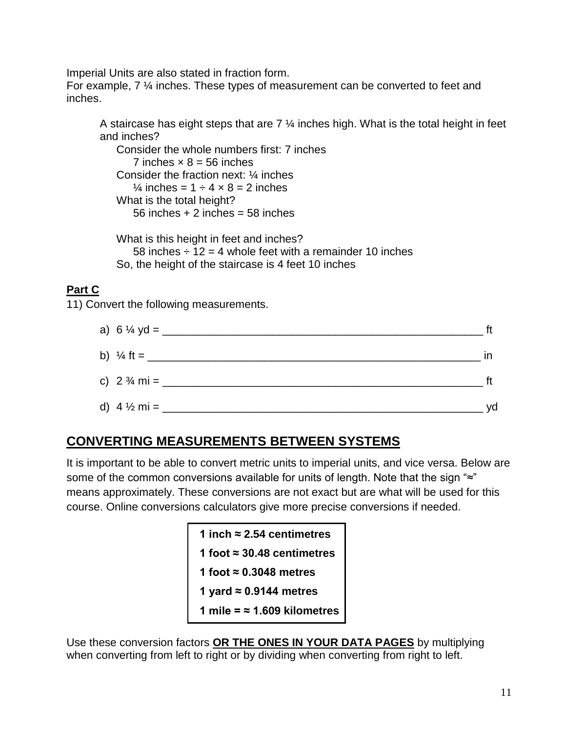Imperial Units are also stated in fraction form.

For example, 7 ¼ inches. These types of measurement can be converted to feet and inches.

A staircase has eight steps that are  $7\frac{1}{4}$  inches high. What is the total height in feet and inches?

Consider the whole numbers first: 7 inches 7 inches  $\times$  8 = 56 inches Consider the fraction next: ¼ inches  $\frac{1}{4}$  inches = 1  $\div$  4  $\times$  8 = 2 inches What is the total height? 56 inches  $+2$  inches = 58 inches

What is this height in feet and inches? 58 inches  $\div$  12 = 4 whole feet with a remainder 10 inches So, the height of the staircase is 4 feet 10 inches

### **Part C**

11) Convert the following measurements.

| a) $6\frac{1}{4}$ yd = ____ |    |
|-----------------------------|----|
|                             | ın |
|                             |    |
| d) $4\frac{1}{2}$ mi = ___  | yd |

## **CONVERTING MEASUREMENTS BETWEEN SYSTEMS**

It is important to be able to convert metric units to imperial units, and vice versa. Below are some of the common conversions available for units of length. Note that the sign "≈" means approximately. These conversions are not exact but are what will be used for this course. Online conversions calculators give more precise conversions if needed.

> **1 inch ≈ 2.54 centimetres 1 foot ≈ 30.48 centimetres 1 foot ≈ 0.3048 metres 1 yard ≈ 0.9144 metres 1 mile = ≈ 1.609 kilometres**

Use these conversion factors **OR THE ONES IN YOUR DATA PAGES** by multiplying when converting from left to right or by dividing when converting from right to left.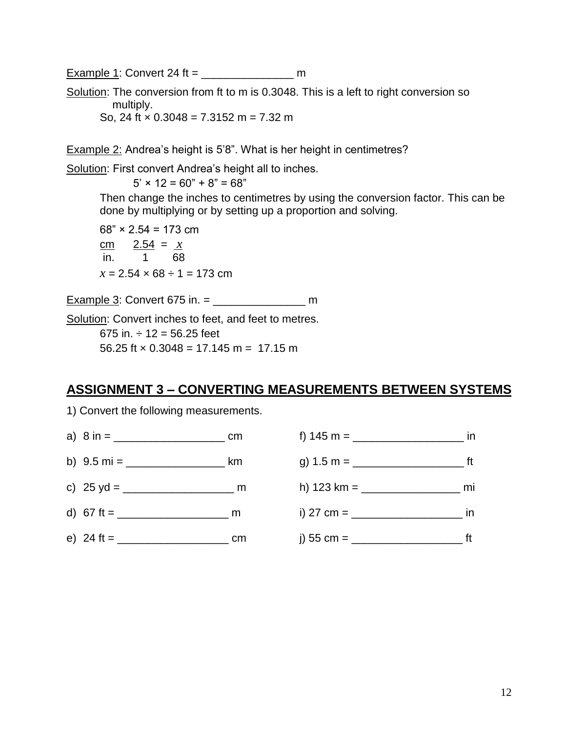Example 1: Convert 24 ft =  $\frac{24}{10}$ 

Solution: The conversion from ft to m is 0.3048. This is a left to right conversion so multiply. So, 24 ft  $\times$  0.3048 = 7.3152 m = 7.32 m

Example 2: Andrea's height is 5'8". What is her height in centimetres?

Solution: First convert Andrea's height all to inches.

 $5' \times 12 = 60'' + 8'' = 68''$ 

Then change the inches to centimetres by using the conversion factor. This can be done by multiplying or by setting up a proportion and solving.

 $68" \times 2.54 = 173$  cm cm  $2.54 = x$ in. 1 68  $x = 2.54 \times 68 \div 1 = 173$  cm

Example 3: Convert 675 in. = \_\_\_\_\_\_\_\_\_\_\_\_\_\_\_ m

Solution: Convert inches to feet, and feet to metres. 675 in.  $\div$  12 = 56.25 feet 56.25 ft  $\times$  0.3048 = 17.145 m = 17.15 m

### **ASSIGNMENT 3 – CONVERTING MEASUREMENTS BETWEEN SYSTEMS**

1) Convert the following measurements.

- 
- 
- 
- 
- 

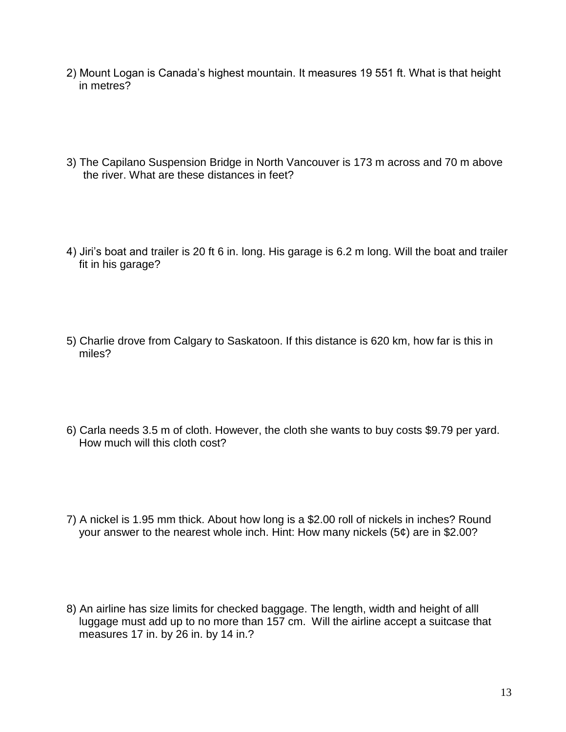- 2) Mount Logan is Canada's highest mountain. It measures 19 551 ft. What is that height in metres?
- 3) The Capilano Suspension Bridge in North Vancouver is 173 m across and 70 m above the river. What are these distances in feet?
- 4) Jiri's boat and trailer is 20 ft 6 in. long. His garage is 6.2 m long. Will the boat and trailer fit in his garage?
- 5) Charlie drove from Calgary to Saskatoon. If this distance is 620 km, how far is this in miles?
- 6) Carla needs 3.5 m of cloth. However, the cloth she wants to buy costs \$9.79 per yard. How much will this cloth cost?
- 7) A nickel is 1.95 mm thick. About how long is a \$2.00 roll of nickels in inches? Round your answer to the nearest whole inch. Hint: How many nickels (5¢) are in \$2.00?
- 8) An airline has size limits for checked baggage. The length, width and height of alll luggage must add up to no more than 157 cm. Will the airline accept a suitcase that measures 17 in. by 26 in. by 14 in.?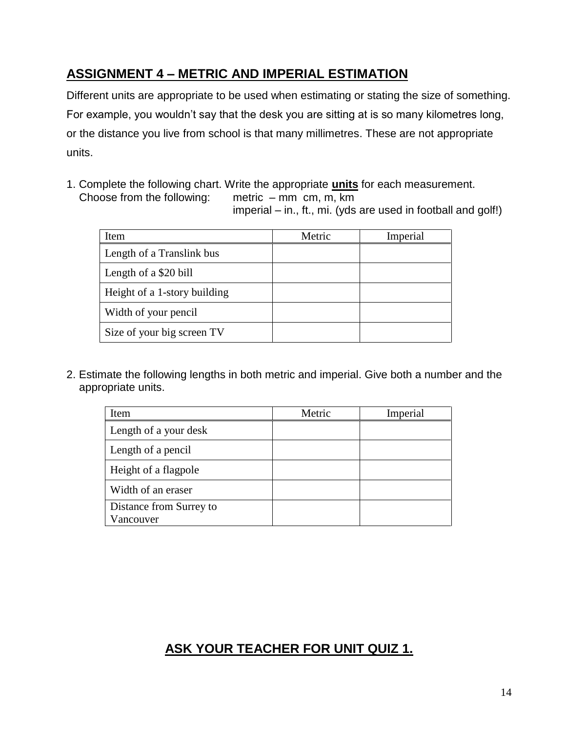## **ASSIGNMENT 4 – METRIC AND IMPERIAL ESTIMATION**

Different units are appropriate to be used when estimating or stating the size of something. For example, you wouldn't say that the desk you are sitting at is so many kilometres long, or the distance you live from school is that many millimetres. These are not appropriate units.

1. Complete the following chart. Write the appropriate **units** for each measurement. Choose from the following: metric – mm cm, m, km

imperial – in., ft., mi. (yds are used in football and golf!)

| Item                         | Metric | Imperial |
|------------------------------|--------|----------|
| Length of a Translink bus    |        |          |
| Length of a \$20 bill        |        |          |
| Height of a 1-story building |        |          |
| Width of your pencil         |        |          |
| Size of your big screen TV   |        |          |

2. Estimate the following lengths in both metric and imperial. Give both a number and the appropriate units.

| Item                                 | Metric | Imperial |
|--------------------------------------|--------|----------|
| Length of a your desk                |        |          |
| Length of a pencil                   |        |          |
| Height of a flagpole                 |        |          |
| Width of an eraser                   |        |          |
| Distance from Surrey to<br>Vancouver |        |          |

## **ASK YOUR TEACHER FOR UNIT QUIZ 1.**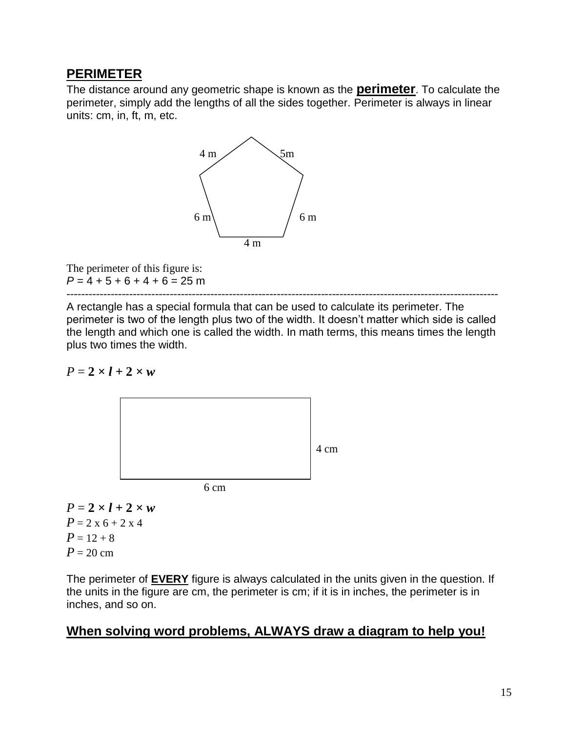### **PERIMETER**

The distance around any geometric shape is known as the **perimeter**. To calculate the perimeter, simply add the lengths of all the sides together. Perimeter is always in linear units: cm, in, ft, m, etc.



The perimeter of this figure is:  $P = 4 + 5 + 6 + 4 + 6 = 25$  m

--------------------------------------------------------------------------------------------------------------------- A rectangle has a special formula that can be used to calculate its perimeter. The perimeter is two of the length plus two of the width. It doesn't matter which side is called the length and which one is called the width. In math terms, this means times the length plus two times the width.

#### $P = 2 \times l + 2 \times w$



 $P = 2 \times l + 2 \times w$  $P = 2 \times 6 + 2 \times 4$  $P = 12 + 8$  $P = 20$  cm

The perimeter of **EVERY** figure is always calculated in the units given in the question. If the units in the figure are cm, the perimeter is cm; if it is in inches, the perimeter is in inches, and so on.

### **When solving word problems, ALWAYS draw a diagram to help you!**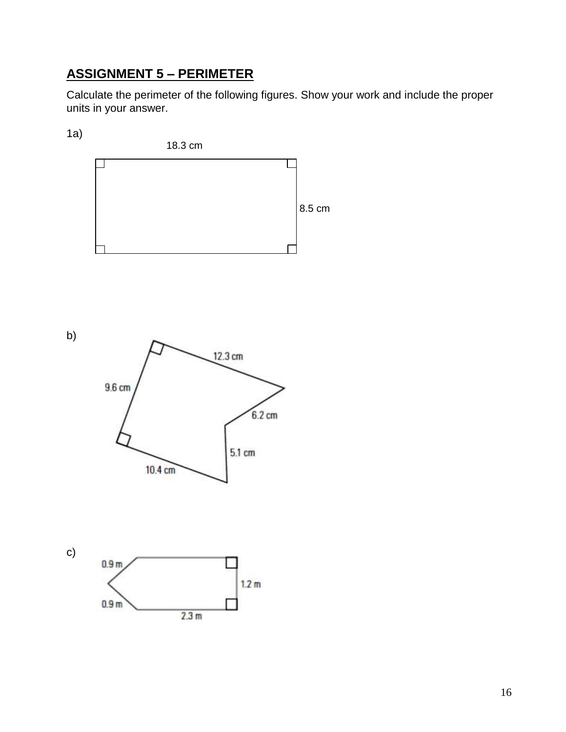# **ASSIGNMENT 5 – PERIMETER**

Calculate the perimeter of the following figures. Show your work and include the proper units in your answer.

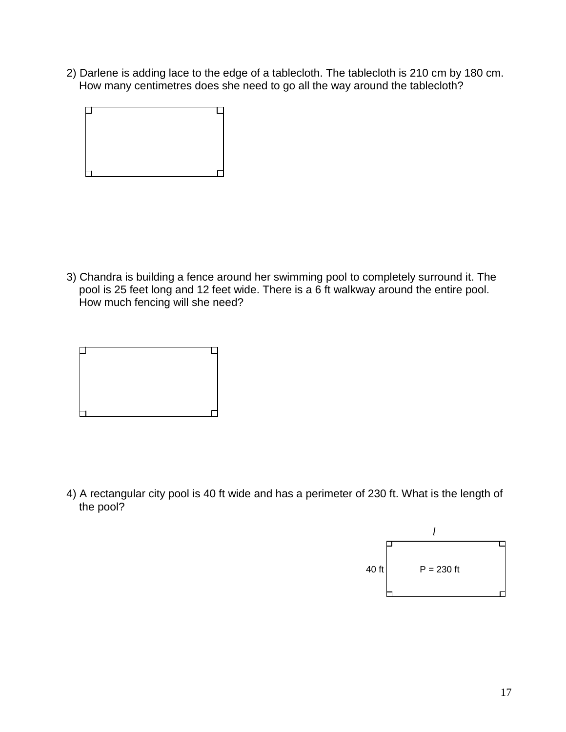2) Darlene is adding lace to the edge of a tablecloth. The tablecloth is 210 cm by 180 cm. How many centimetres does she need to go all the way around the tablecloth?

3) Chandra is building a fence around her swimming pool to completely surround it. The pool is 25 feet long and 12 feet wide. There is a 6 ft walkway around the entire pool. How much fencing will she need?

4) A rectangular city pool is 40 ft wide and has a perimeter of 230 ft. What is the length of the pool?

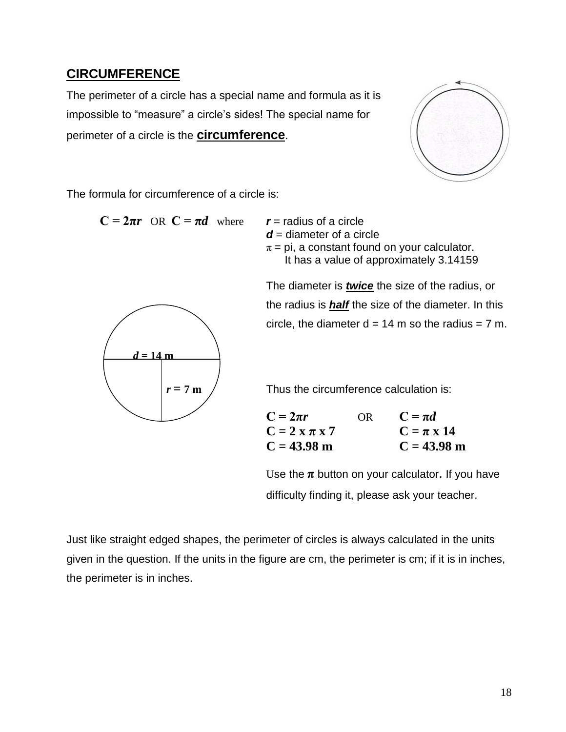### **CIRCUMFERENCE**

The perimeter of a circle has a special name and formula as it is impossible to "measure" a circle's sides! The special name for perimeter of a circle is the **circumference**.



The formula for circumference of a circle is:

 $C = 2\pi r$  OR  $C = \pi d$  where

*r* = radius of a circle  
*d* = diameter of a circle  

$$
π = pi
$$
, a constant found on your calculator.  
It has a value of approximately 3.14159



The diameter is *twice* the size of the radius, or the radius is *half* the size of the diameter. In this circle, the diameter  $d = 14$  m so the radius = 7 m.

 $r = 7 \text{ m}$  / Thus the circumference calculation is:

| $C = 2\pi r$      | OR | $C = \pi d$         |
|-------------------|----|---------------------|
| $C = 2 x \pi x 7$ |    | $C = \pi \times 14$ |
| $C = 43.98$ m     |    | $C = 43.98$ m       |

Use the  $\pi$  button on your calculator. If you have difficulty finding it, please ask your teacher.

Just like straight edged shapes, the perimeter of circles is always calculated in the units given in the question. If the units in the figure are cm, the perimeter is cm; if it is in inches, the perimeter is in inches.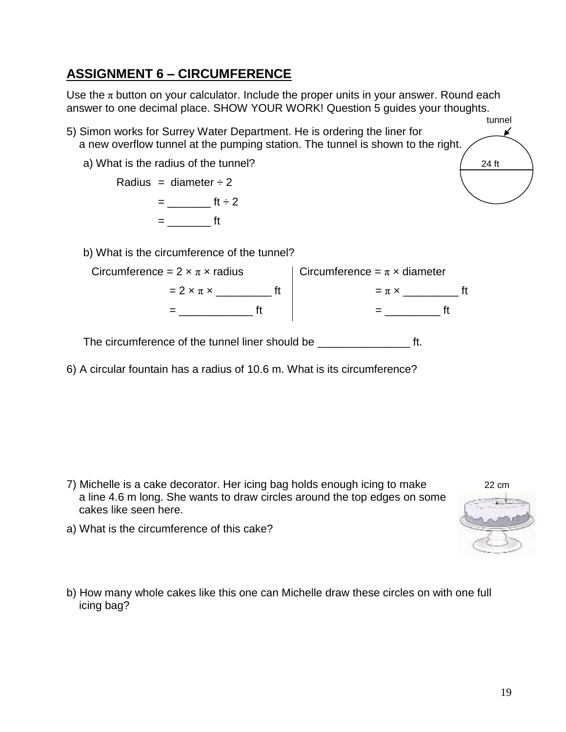## **ASSIGNMENT 6 – CIRCUMFERENCE**

Use the  $\pi$  button on your calculator. Include the proper units in your answer. Round each answer to one decimal place. SHOW YOUR WORK! Question 5 guides your thoughts. tunnel

5) Simon works for Surrey Water Department. He is ordering the liner for a new overflow tunnel at the pumping station. The tunnel is shown to the right.

a) What is the radius of the tunnel?  $\frac{24 \text{ ft}}{24 \text{ ft}}$ 

Radius = diameter  $\div 2$  $=$  \_\_\_\_\_\_\_\_\_\_\_\_\_\_\_ ft  $\div$  2  $=$  ft

b) What is the circumference of the tunnel?

| Circumference = $2 \times \pi \times$ radius | Circumference = $\pi \times$ diameter |           |  |
|----------------------------------------------|---------------------------------------|-----------|--|
| $= 2 \times \pi \times$                      |                                       | $= \pi x$ |  |
|                                              |                                       |           |  |

The circumference of the tunnel liner should be \_\_\_\_\_\_\_\_\_\_\_\_\_\_\_\_\_\_\_\_\_\_\_ ft.

6) A circular fountain has a radius of 10.6 m. What is its circumference?

7) Michelle is a cake decorator. Her icing bag holds enough icing to make 22 cm a line 4.6 m long. She wants to draw circles around the top edges on some cakes like seen here.



¥

- a) What is the circumference of this cake?
- b) How many whole cakes like this one can Michelle draw these circles on with one full icing bag?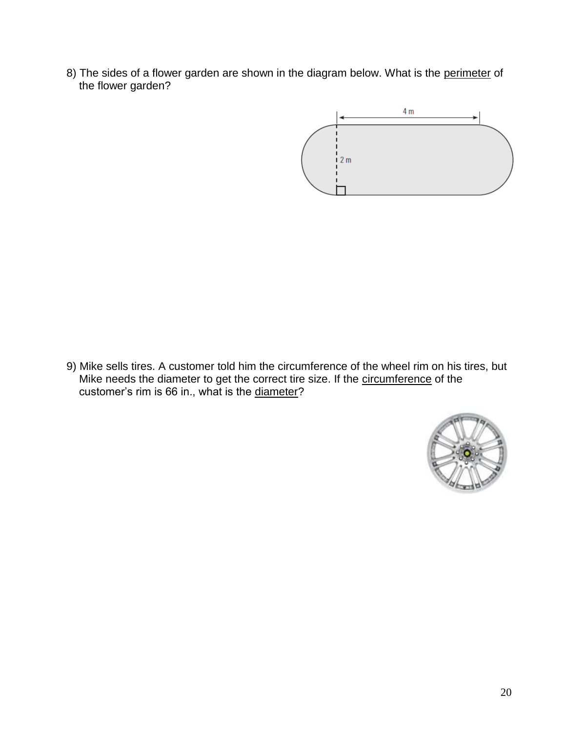8) The sides of a flower garden are shown in the diagram below. What is the perimeter of the flower garden?



9) Mike sells tires. A customer told him the circumference of the wheel rim on his tires, but Mike needs the diameter to get the correct tire size. If the circumference of the customer's rim is 66 in., what is the diameter?

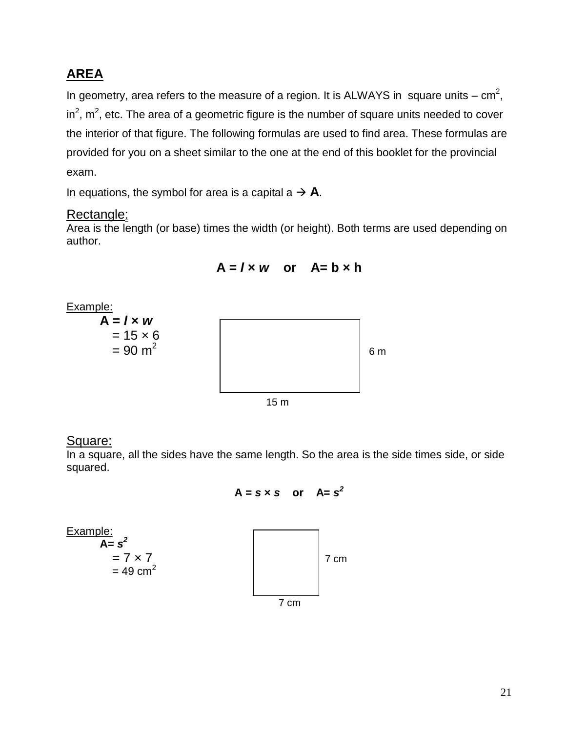## **AREA**

In geometry, area refers to the measure of a region. It is ALWAYS in square units –  $cm<sup>2</sup>$ , in<sup>2</sup>, m<sup>2</sup>, etc. The area of a geometric figure is the number of square units needed to cover the interior of that figure. The following formulas are used to find area. These formulas are provided for you on a sheet similar to the one at the end of this booklet for the provincial exam.

In equations, the symbol for area is a capital  $a \rightarrow A$ .

### Rectangle:

Area is the length (or base) times the width (or height). Both terms are used depending on author.



### $A = I \times W$  or  $A = b \times h$

### Square:

In a square, all the sides have the same length. So the area is the side times side, or side squared.

$$
A = s \times s \quad or \quad A = s^2
$$

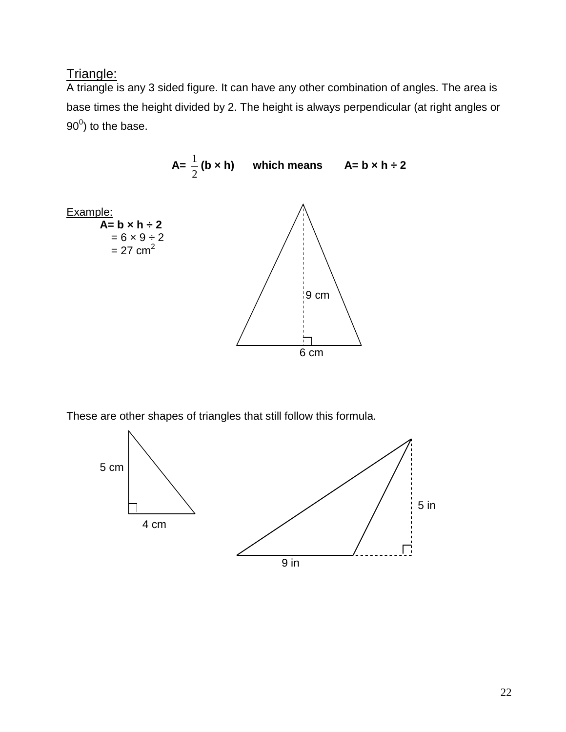## Triangle:

A triangle is any 3 sided figure. It can have any other combination of angles. The area is base times the height divided by 2. The height is always perpendicular (at right angles or  $90^0$ ) to the base.



These are other shapes of triangles that still follow this formula.

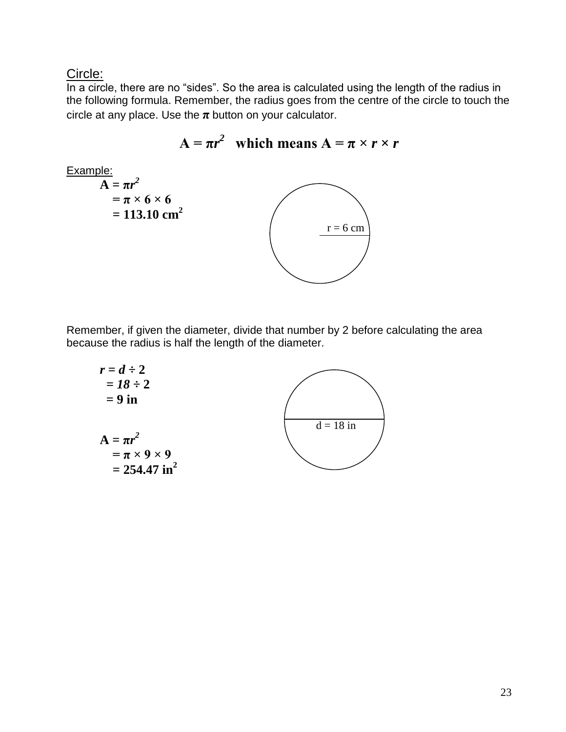Circle:

In a circle, there are no "sides". So the area is calculated using the length of the radius in the following formula. Remember, the radius goes from the centre of the circle to touch the circle at any place. Use the  $\pi$  button on your calculator.





Remember, if given the diameter, divide that number by 2 before calculating the area because the radius is half the length of the diameter.

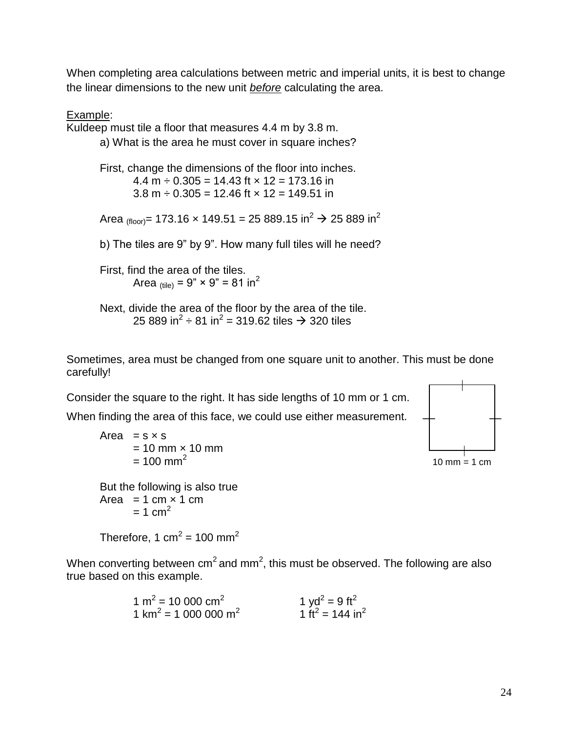When completing area calculations between metric and imperial units, it is best to change the linear dimensions to the new unit *before* calculating the area.

Example:

Kuldeep must tile a floor that measures 4.4 m by 3.8 m. a) What is the area he must cover in square inches? First, change the dimensions of the floor into inches.  $4.4 \text{ m} \div 0.305 = 14.43 \text{ ft} \times 12 = 173.16 \text{ in}$ 3.8 m  $\div$  0.305 = 12.46 ft  $\times$  12 = 149.51 in Area (floor) = 173.16 x 149.51 = 25 889.15 in<sup>2</sup>  $\rightarrow$  25 889 in<sup>2</sup> b) The tiles are 9" by 9". How many full tiles will he need? First, find the area of the tiles. Area  $_{\text{(tile)}} = 9$ " × 9" = 81 in<sup>2</sup> Next, divide the area of the floor by the area of the tile. 25 889 in<sup>2</sup> ÷ 81 in<sup>2</sup> = 319.62 tiles → 320 tiles

Sometimes, area must be changed from one square unit to another. This must be done carefully!

Consider the square to the right. It has side lengths of 10 mm or 1 cm.

When finding the area of this face, we could use either measurement.

Area  $= s \times s$  $= 10$  mm  $\times$  10 mm  $= 100$  mm<sup>2</sup> But the following is also true

Area =  $1 \text{ cm} \times 1 \text{ cm}$  $= 1$  cm<sup>2</sup>

Therefore, 1 cm<sup>2</sup> = 100 mm<sup>2</sup>

When converting between cm<sup>2</sup> and mm<sup>2</sup>, this must be observed. The following are also true based on this example.

> 1 m<sup>2</sup> = 10 000 cm<sup>2</sup> 1 yd<sup>2</sup> = 9 ft<sup>2</sup> 1 km<sup>2</sup> = 1 000 000 m<sup>2</sup> 1 ft<sup>2</sup> = 144 in<sup>2</sup>

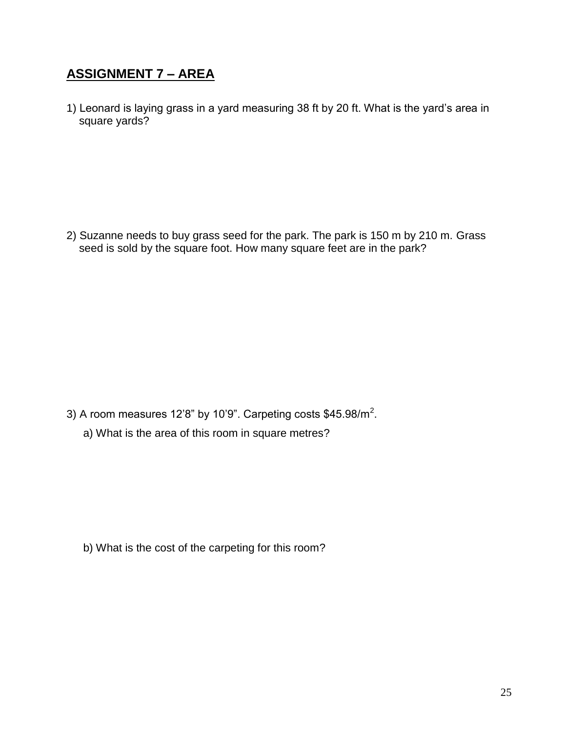## **ASSIGNMENT 7 – AREA**

1) Leonard is laying grass in a yard measuring 38 ft by 20 ft. What is the yard's area in square yards?

2) Suzanne needs to buy grass seed for the park. The park is 150 m by 210 m. Grass seed is sold by the square foot. How many square feet are in the park?

3) A room measures 12'8" by 10'9". Carpeting costs \$45.98/m<sup>2</sup>. a) What is the area of this room in square metres?

b) What is the cost of the carpeting for this room?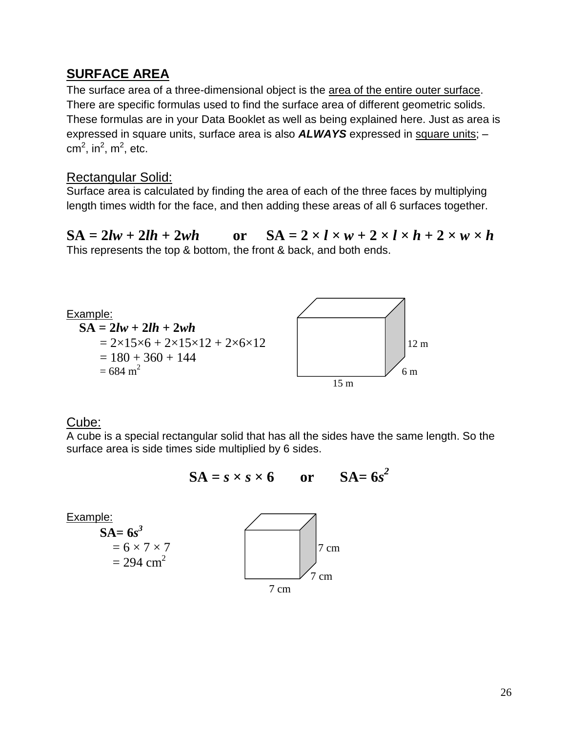### **SURFACE AREA**

The surface area of a three-dimensional object is the area of the entire outer surface. There are specific formulas used to find the surface area of different geometric solids. These formulas are in your Data Booklet as well as being explained here. Just as area is expressed in square units, surface area is also *ALWAYS* expressed in square units; – cm<sup>2</sup>, in<sup>2</sup>, m<sup>2</sup>, etc.

#### Rectangular Solid:

Surface area is calculated by finding the area of each of the three faces by multiplying length times width for the face, and then adding these areas of all 6 surfaces together.

 $SA = 2lw + 2lh + 2wh$  or  $SA = 2 \times l \times w + 2 \times l \times h + 2 \times w \times h$ This represents the top & bottom, the front & back, and both ends.



### Cube:

A cube is a special rectangular solid that has all the sides have the same length. So the surface area is side times side multiplied by 6 sides.

$$
SA = s \times s \times 6 \qquad or \qquad SA = 6s^2
$$

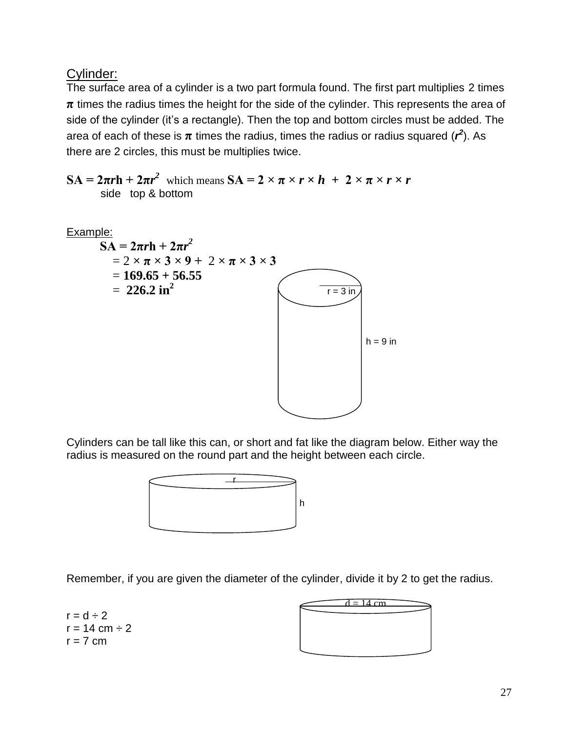Cylinder:

The surface area of a cylinder is a two part formula found. The first part multiplies 2 times **π** times the radius times the height for the side of the cylinder. This represents the area of side of the cylinder (it's a rectangle). Then the top and bottom circles must be added. The area of each of these is  $\pi$  times the radius, times the radius or radius squared ( $r^2$ ). As there are 2 circles, this must be multiplies twice.

 $\mathbf{SA} = 2\pi r \mathbf{h} + 2\pi r^2$  which means  $\mathbf{SA} = 2 \times \pi \times r \times h + 2 \times \pi \times r \times r$ side top & bottom



Cylinders can be tall like this can, or short and fat like the diagram below. Either way the radius is measured on the round part and the height between each circle.



Remember, if you are given the diameter of the cylinder, divide it by 2 to get the radius.

 $r = d \div 2$  $r = 14$  cm  $\div 2$  $r = 7$  cm

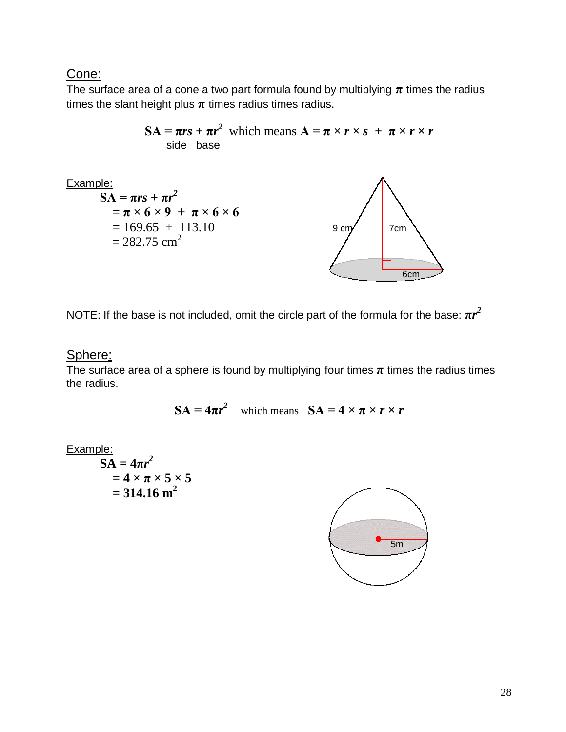### Cone:

The surface area of a cone a two part formula found by multiplying  $\pi$  times the radius times the slant height plus  $\pi$  times radius times radius.



NOTE: If the base is not included, omit the circle part of the formula for the base:  $\pi r^2$ 

#### Sphere:

The surface area of a sphere is found by multiplying four times  $\pi$  times the radius times the radius.

 $SA = 4\pi r^2$  which means  $SA = 4 \times \pi \times r \times r$ 

Example:

$$
\overline{SA} = 4\pi r^2
$$
  
= 4 \times \pi \times 5 \times 5  
= 314.16 m<sup>2</sup>

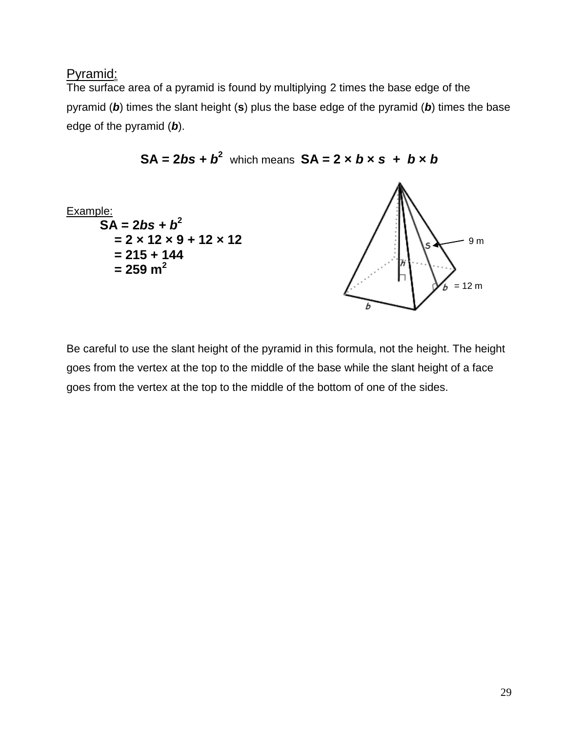#### Pyramid:

The surface area of a pyramid is found by multiplying 2 times the base edge of the pyramid (*b*) times the slant height (**s**) plus the base edge of the pyramid (*b*) times the base edge of the pyramid (*b*).



$$
SA = 2bs + b^2
$$
 which means  $SA = 2 \times b \times s + b \times b$ 

Be careful to use the slant height of the pyramid in this formula, not the height. The height goes from the vertex at the top to the middle of the base while the slant height of a face goes from the vertex at the top to the middle of the bottom of one of the sides.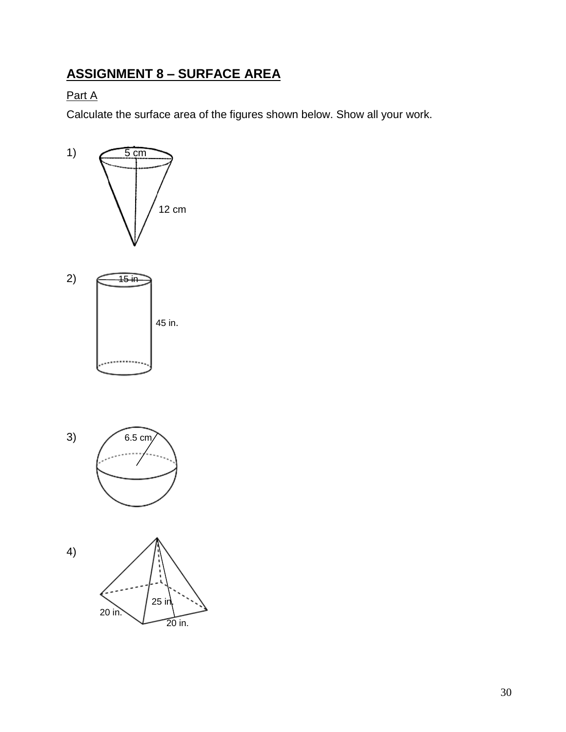# **ASSIGNMENT 8 – SURFACE AREA**

### Part A

Calculate the surface area of the figures shown below. Show all your work.







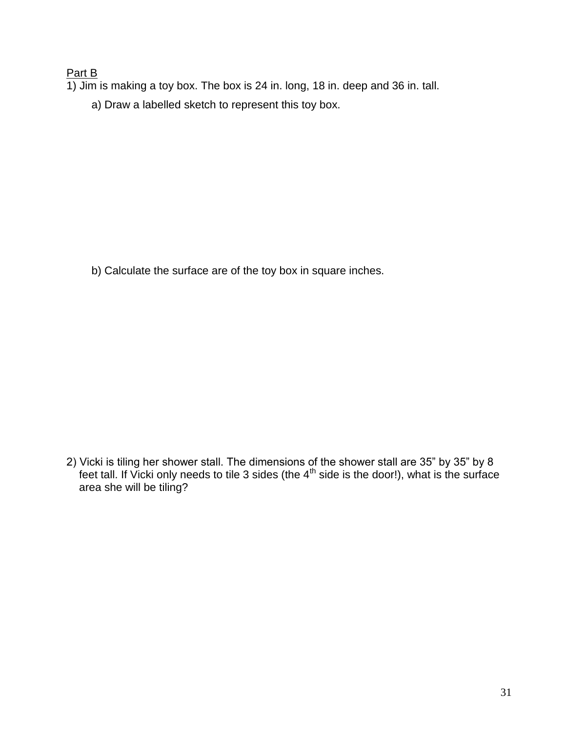#### Part B

- $\overline{1}$ ) Jim is making a toy box. The box is 24 in. long, 18 in. deep and 36 in. tall.
	- a) Draw a labelled sketch to represent this toy box.

b) Calculate the surface are of the toy box in square inches.

2) Vicki is tiling her shower stall. The dimensions of the shower stall are 35" by 35" by 8 feet tall. If Vicki only needs to tile 3 sides (the  $4<sup>th</sup>$  side is the door!), what is the surface area she will be tiling?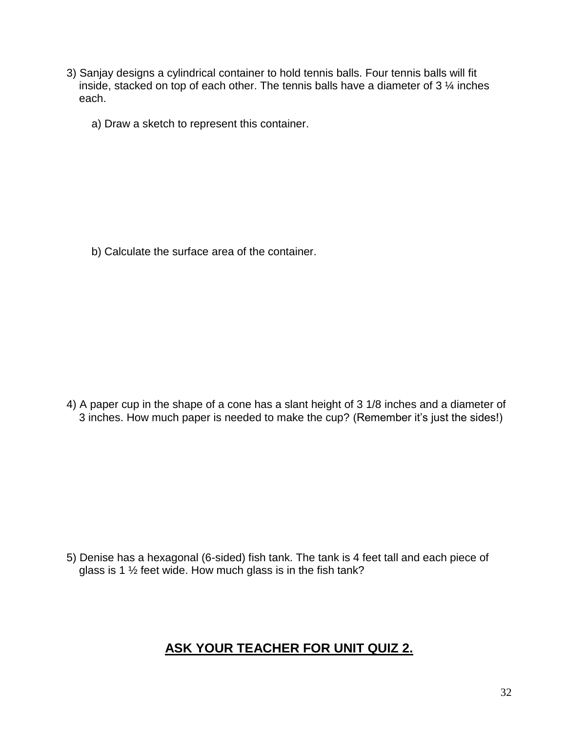- 3) Sanjay designs a cylindrical container to hold tennis balls. Four tennis balls will fit inside, stacked on top of each other. The tennis balls have a diameter of 3 ¼ inches each.
	- a) Draw a sketch to represent this container.

b) Calculate the surface area of the container.

4) A paper cup in the shape of a cone has a slant height of 3 1/8 inches and a diameter of 3 inches. How much paper is needed to make the cup? (Remember it's just the sides!)

5) Denise has a hexagonal (6-sided) fish tank. The tank is 4 feet tall and each piece of glass is 1  $\frac{1}{2}$  feet wide. How much glass is in the fish tank?

## **ASK YOUR TEACHER FOR UNIT QUIZ 2.**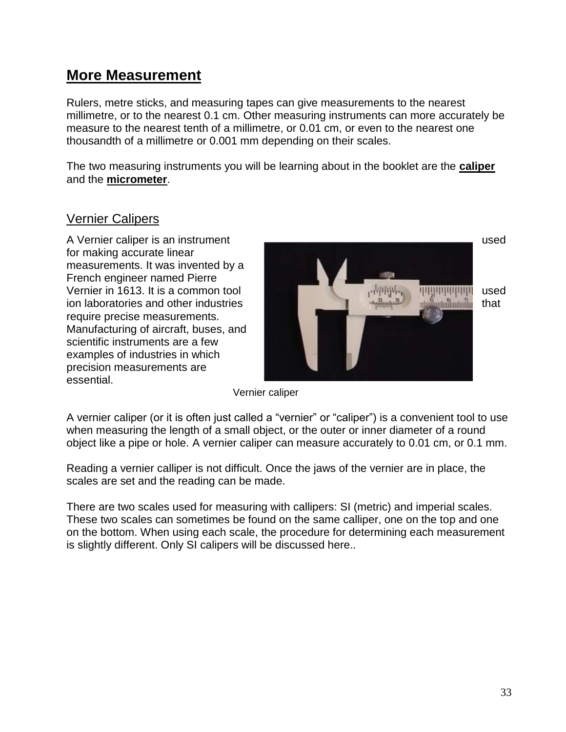# **More Measurement**

Rulers, metre sticks, and measuring tapes can give measurements to the nearest millimetre, or to the nearest 0.1 cm. Other measuring instruments can more accurately be measure to the nearest tenth of a millimetre, or 0.01 cm, or even to the nearest one thousandth of a millimetre or 0.001 mm depending on their scales.

The two measuring instruments you will be learning about in the booklet are the **caliper** and the **micrometer**.

### Vernier Calipers

for making accurate linear measurements. It was invented by a French engineer named Pierre require precise measurements. Manufacturing of aircraft, buses, and scientific instruments are a few examples of industries in which precision measurements are essential.



Vernier caliper

A vernier caliper (or it is often just called a "vernier" or "caliper") is a convenient tool to use when measuring the length of a small object, or the outer or inner diameter of a round object like a pipe or hole. A vernier caliper can measure accurately to 0.01 cm, or 0.1 mm.

Reading a vernier calliper is not difficult. Once the jaws of the vernier are in place, the scales are set and the reading can be made.

There are two scales used for measuring with callipers: SI (metric) and imperial scales. These two scales can sometimes be found on the same calliper, one on the top and one on the bottom. When using each scale, the procedure for determining each measurement is slightly different. Only SI calipers will be discussed here..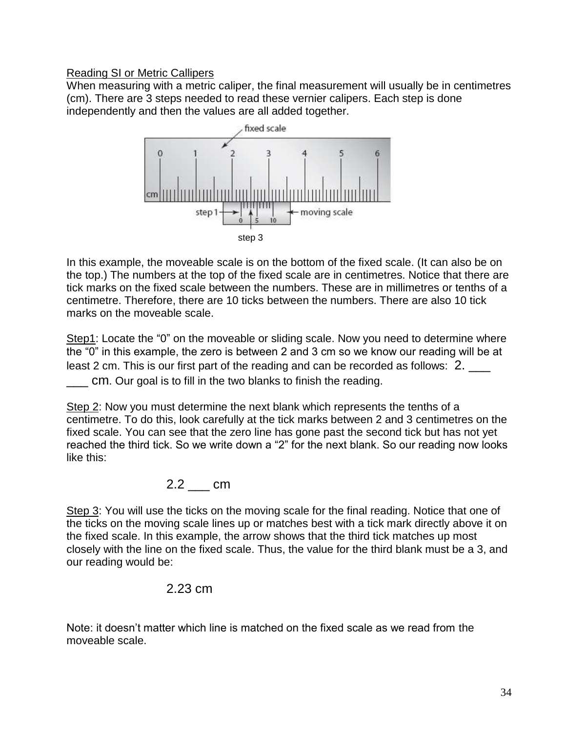#### Reading SI or Metric Callipers

When measuring with a metric caliper, the final measurement will usually be in centimetres (cm). There are 3 steps needed to read these vernier calipers. Each step is done independently and then the values are all added together.



In this example, the moveable scale is on the bottom of the fixed scale. (It can also be on the top.) The numbers at the top of the fixed scale are in centimetres. Notice that there are tick marks on the fixed scale between the numbers. These are in millimetres or tenths of a centimetre. Therefore, there are 10 ticks between the numbers. There are also 10 tick marks on the moveable scale.

Step1: Locate the "0" on the moveable or sliding scale. Now you need to determine where the "0" in this example, the zero is between 2 and 3 cm so we know our reading will be at least 2 cm. This is our first part of the reading and can be recorded as follows: 2. \_\_\_ cm. Our goal is to fill in the two blanks to finish the reading.

Step 2: Now you must determine the next blank which represents the tenths of a centimetre. To do this, look carefully at the tick marks between 2 and 3 centimetres on the fixed scale. You can see that the zero line has gone past the second tick but has not yet reached the third tick. So we write down a "2" for the next blank. So our reading now looks like this:

### 2.2 cm

Step 3: You will use the ticks on the moving scale for the final reading. Notice that one of the ticks on the moving scale lines up or matches best with a tick mark directly above it on the fixed scale. In this example, the arrow shows that the third tick matches up most closely with the line on the fixed scale. Thus, the value for the third blank must be a 3, and our reading would be:

#### 2.23 cm

Note: it doesn't matter which line is matched on the fixed scale as we read from the moveable scale.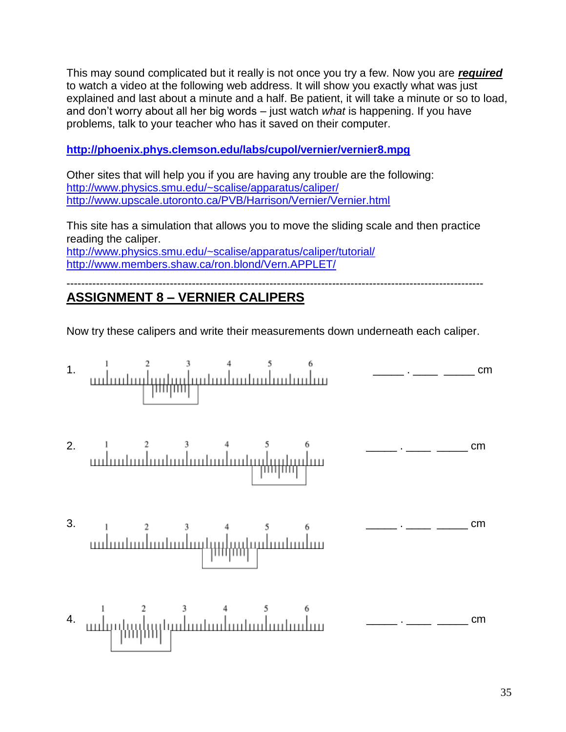This may sound complicated but it really is not once you try a few. Now you are *required* to watch a video at the following web address. It will show you exactly what was just explained and last about a minute and a half. Be patient, it will take a minute or so to load, and don't worry about all her big words – just watch *what* is happening. If you have problems, talk to your teacher who has it saved on their computer.

#### **<http://phoenix.phys.clemson.edu/labs/cupol/vernier/vernier8.mpg>**

Other sites that will help you if you are having any trouble are the following: <http://www.physics.smu.edu/~scalise/apparatus/caliper/> <http://www.upscale.utoronto.ca/PVB/Harrison/Vernier/Vernier.html>

This site has a simulation that allows you to move the sliding scale and then practice reading the caliper. <http://www.physics.smu.edu/~scalise/apparatus/caliper/tutorial/> <http://www.members.shaw.ca/ron.blond/Vern.APPLET/>

-----------------------------------------------------------------------------------------------------------------

## **ASSIGNMENT 8 – VERNIER CALIPERS**

Now try these calipers and write their measurements down underneath each caliper.

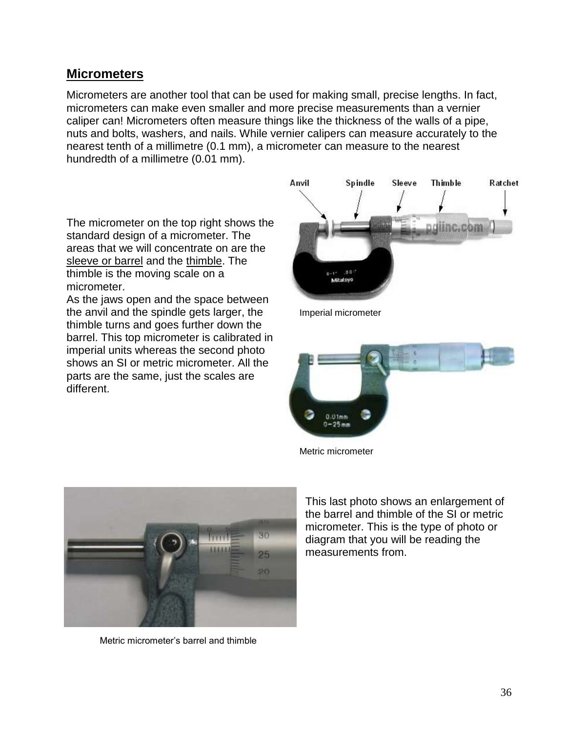### **Micrometers**

Micrometers are another tool that can be used for making small, precise lengths. In fact, micrometers can make even smaller and more precise measurements than a vernier caliper can! Micrometers often measure things like the thickness of the walls of a pipe, nuts and bolts, washers, and nails. While vernier calipers can measure accurately to the nearest tenth of a millimetre (0.1 mm), a micrometer can measure to the nearest hundredth of a millimetre (0.01 mm).

The micrometer on the top right shows the standard design of a micrometer. The areas that we will concentrate on are the sleeve or barrel and the thimble. The thimble is the moving scale on a micrometer.

As the jaws open and the space between the anvil and the spindle gets larger, the Imperial micrometer thimble turns and goes further down the barrel. This top micrometer is calibrated in imperial units whereas the second photo shows an SI or metric micrometer. All the parts are the same, just the scales are different.





Metric micrometer



Metric micrometer's barrel and thimble

This last photo shows an enlargement of the barrel and thimble of the SI or metric micrometer. This is the type of photo or diagram that you will be reading the measurements from.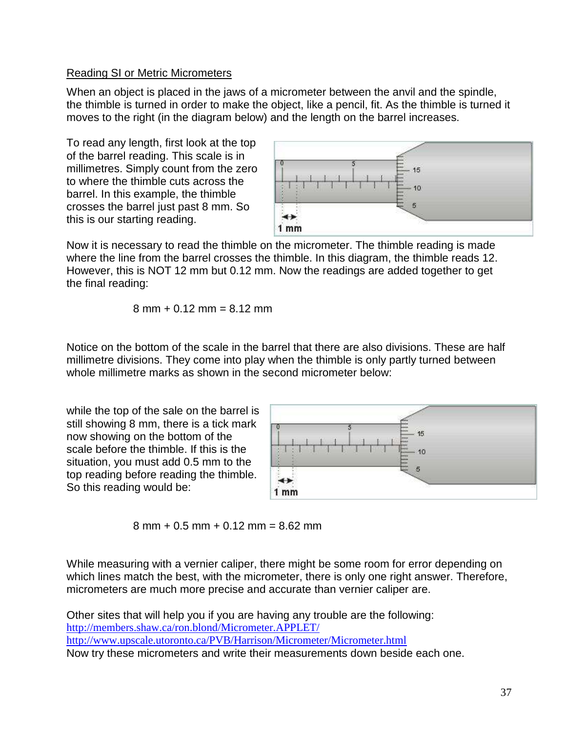#### Reading SI or Metric Micrometers

When an object is placed in the jaws of a micrometer between the anvil and the spindle, the thimble is turned in order to make the object, like a pencil, fit. As the thimble is turned it moves to the right (in the diagram below) and the length on the barrel increases.

To read any length, first look at the top of the barrel reading. This scale is in millimetres. Simply count from the zero to where the thimble cuts across the barrel. In this example, the thimble crosses the barrel just past 8 mm. So this is our starting reading.



Now it is necessary to read the thimble on the micrometer. The thimble reading is made where the line from the barrel crosses the thimble. In this diagram, the thimble reads 12. However, this is NOT 12 mm but 0.12 mm. Now the readings are added together to get the final reading:

$$
8 \text{ mm} + 0.12 \text{ mm} = 8.12 \text{ mm}
$$

Notice on the bottom of the scale in the barrel that there are also divisions. These are half millimetre divisions. They come into play when the thimble is only partly turned between whole millimetre marks as shown in the second micrometer below:

while the top of the sale on the barrel is still showing 8 mm, there is a tick mark now showing on the bottom of the scale before the thimble. If this is the situation, you must add 0.5 mm to the top reading before reading the thimble. So this reading would be:



 $8 \text{ mm} + 0.5 \text{ mm} + 0.12 \text{ mm} = 8.62 \text{ mm}$ 

While measuring with a vernier caliper, there might be some room for error depending on which lines match the best, with the micrometer, there is only one right answer. Therefore, micrometers are much more precise and accurate than vernier caliper are.

Other sites that will help you if you are having any trouble are the following: <http://members.shaw.ca/ron.blond/Micrometer.APPLET/> <http://www.upscale.utoronto.ca/PVB/Harrison/Micrometer/Micrometer.html> Now try these micrometers and write their measurements down beside each one.